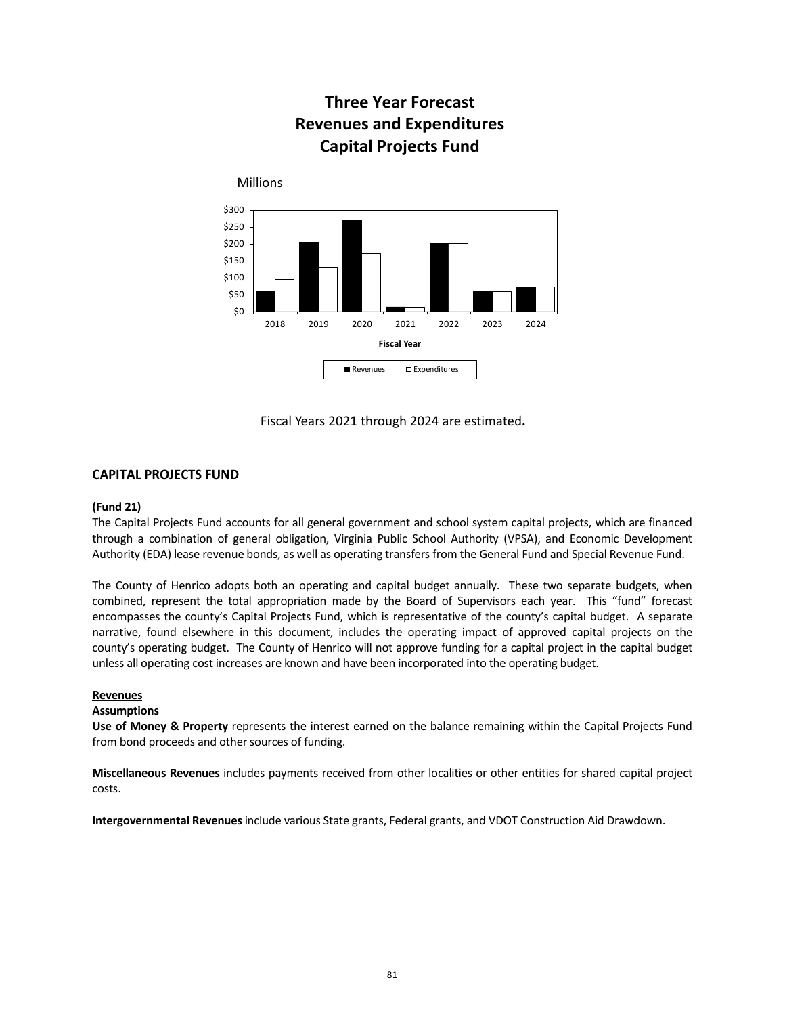# **Three Year Forecast Revenues and Expenditures Capital Projects Fund**



Fiscal Years 2021 through 2024 are estimated**.**

# **CAPITAL PROJECTS FUND**

## **(Fund 21)**

The Capital Projects Fund accounts for all general government and school system capital projects, which are financed through a combination of general obligation, Virginia Public School Authority (VPSA), and Economic Development Authority (EDA) lease revenue bonds, as well as operating transfers from the General Fund and Special Revenue Fund.

The County of Henrico adopts both an operating and capital budget annually. These two separate budgets, when combined, represent the total appropriation made by the Board of Supervisors each year. This "fund" forecast encompasses the county's Capital Projects Fund, which is representative of the county's capital budget. A separate narrative, found elsewhere in this document, includes the operating impact of approved capital projects on the county's operating budget. The County of Henrico will not approve funding for a capital project in the capital budget unless all operating cost increases are known and have been incorporated into the operating budget.

## **Revenues**

## **Assumptions**

**Use of Money & Property** represents the interest earned on the balance remaining within the Capital Projects Fund from bond proceeds and other sources of funding.

**Miscellaneous Revenues** includes payments received from other localities or other entities for shared capital project costs.

**Intergovernmental Revenues**include various State grants, Federal grants, and VDOT Construction Aid Drawdown.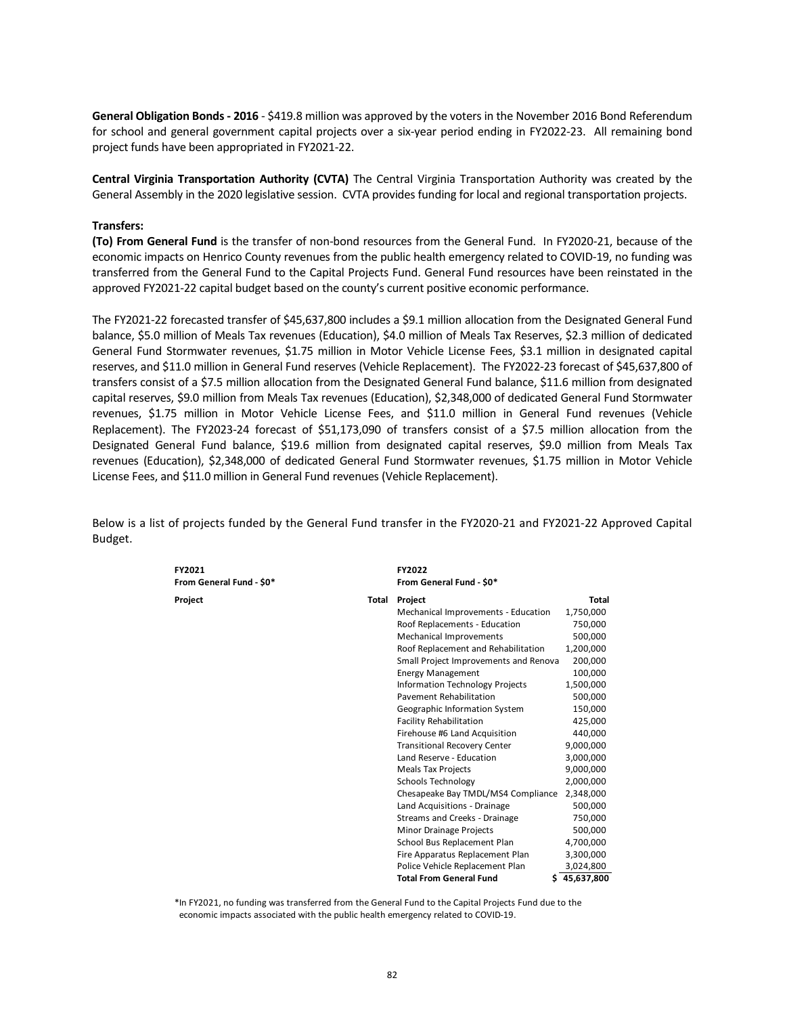**General Obligation Bonds - 2016** - \$419.8 million was approved by the voters in the November 2016 Bond Referendum for school and general government capital projects over a six-year period ending in FY2022-23. All remaining bond project funds have been appropriated in FY2021-22.

**Central Virginia Transportation Authority (CVTA)** The Central Virginia Transportation Authority was created by the General Assembly in the 2020 legislative session. CVTA provides funding for local and regional transportation projects.

## **Transfers:**

**(To) From General Fund** is the transfer of non-bond resources from the General Fund. In FY2020-21, because of the economic impacts on Henrico County revenues from the public health emergency related to COVID-19, no funding was transferred from the General Fund to the Capital Projects Fund. General Fund resources have been reinstated in the approved FY2021-22 capital budget based on the county's current positive economic performance.

The FY2021-22 forecasted transfer of \$45,637,800 includes a \$9.1 million allocation from the Designated General Fund balance, \$5.0 million of Meals Tax revenues (Education), \$4.0 million of Meals Tax Reserves, \$2.3 million of dedicated General Fund Stormwater revenues, \$1.75 million in Motor Vehicle License Fees, \$3.1 million in designated capital reserves, and \$11.0 million in General Fund reserves (Vehicle Replacement). The FY2022-23 forecast of \$45,637,800 of transfers consist of a \$7.5 million allocation from the Designated General Fund balance, \$11.6 million from designated capital reserves, \$9.0 million from Meals Tax revenues (Education), \$2,348,000 of dedicated General Fund Stormwater revenues, \$1.75 million in Motor Vehicle License Fees, and \$11.0 million in General Fund revenues (Vehicle Replacement). The FY2023-24 forecast of \$51,173,090 of transfers consist of a \$7.5 million allocation from the Designated General Fund balance, \$19.6 million from designated capital reserves, \$9.0 million from Meals Tax revenues (Education), \$2,348,000 of dedicated General Fund Stormwater revenues, \$1.75 million in Motor Vehicle License Fees, and \$11.0 million in General Fund revenues (Vehicle Replacement).

Below is a list of projects funded by the General Fund transfer in the FY2020-21 and FY2021-22 Approved Capital Budget.

| FY2021<br>From General Fund - \$0* |       | FY2022<br>From General Fund - \$0*     |              |
|------------------------------------|-------|----------------------------------------|--------------|
| Project                            | Total | Project                                | Total        |
|                                    |       | Mechanical Improvements - Education    | 1,750,000    |
|                                    |       | Roof Replacements - Education          | 750,000      |
|                                    |       | Mechanical Improvements                | 500,000      |
|                                    |       | Roof Replacement and Rehabilitation    | 1,200,000    |
|                                    |       | Small Project Improvements and Renova  | 200,000      |
|                                    |       | <b>Energy Management</b>               | 100,000      |
|                                    |       | <b>Information Technology Projects</b> | 1,500,000    |
|                                    |       | Pavement Rehabilitation                | 500,000      |
|                                    |       | Geographic Information System          | 150,000      |
|                                    |       | <b>Facility Rehabilitation</b>         | 425,000      |
|                                    |       | Firehouse #6 Land Acquisition          | 440,000      |
|                                    |       | <b>Transitional Recovery Center</b>    | 9,000,000    |
|                                    |       | Land Reserve - Education               | 3,000,000    |
|                                    |       | <b>Meals Tax Projects</b>              | 9,000,000    |
|                                    |       | <b>Schools Technology</b>              | 2.000.000    |
|                                    |       | Chesapeake Bay TMDL/MS4 Compliance     | 2,348,000    |
|                                    |       | Land Acquisitions - Drainage           | 500,000      |
|                                    |       | Streams and Creeks - Drainage          | 750,000      |
|                                    |       | Minor Drainage Projects                | 500,000      |
|                                    |       | School Bus Replacement Plan            | 4,700,000    |
|                                    |       | Fire Apparatus Replacement Plan        | 3,300,000    |
|                                    |       | Police Vehicle Replacement Plan        | 3,024,800    |
|                                    |       | <b>Total From General Fund</b>         | \$45.637.800 |

\*In FY2021, no funding was transferred from the General Fund to the Capital Projects Fund due to the economic impacts associated with the public health emergency related to COVID-19.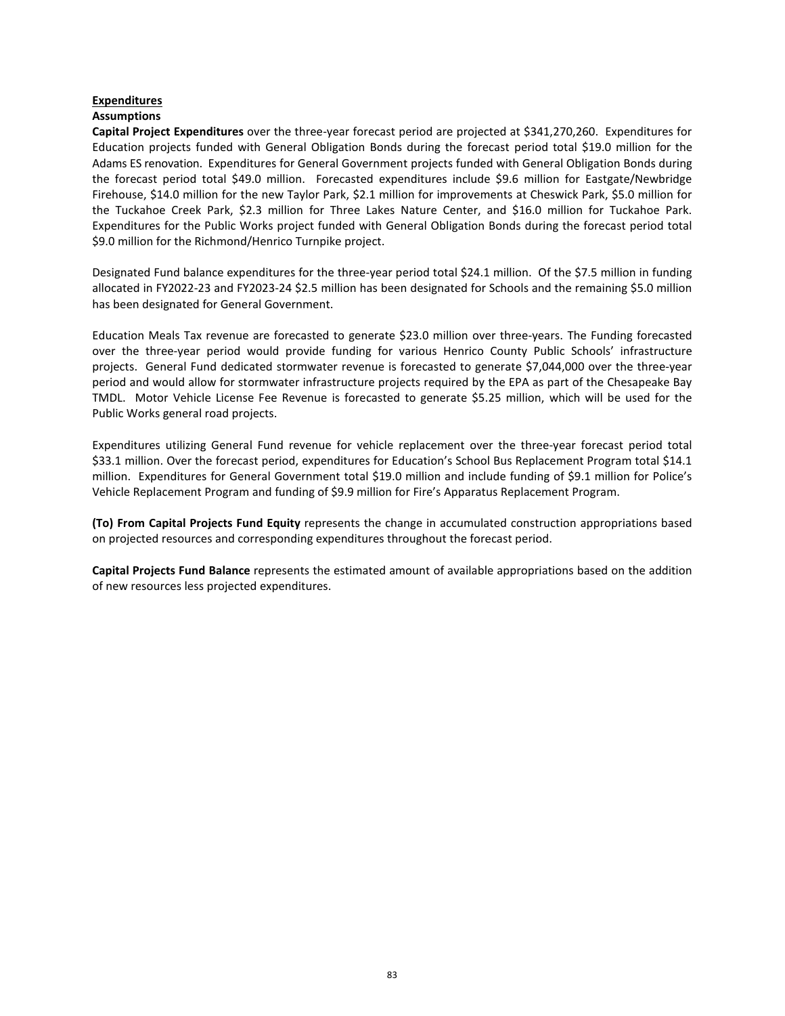# **Expenditures**

## **Assumptions**

**Capital Project Expenditures** over the three-year forecast period are projected at \$341,270,260. Expenditures for Education projects funded with General Obligation Bonds during the forecast period total \$19.0 million for the Adams ES renovation. Expenditures for General Government projects funded with General Obligation Bonds during the forecast period total \$49.0 million. Forecasted expenditures include \$9.6 million for Eastgate/Newbridge Firehouse, \$14.0 million for the new Taylor Park, \$2.1 million for improvements at Cheswick Park, \$5.0 million for the Tuckahoe Creek Park, \$2.3 million for Three Lakes Nature Center, and \$16.0 million for Tuckahoe Park. Expenditures for the Public Works project funded with General Obligation Bonds during the forecast period total \$9.0 million for the Richmond/Henrico Turnpike project.

Designated Fund balance expenditures for the three-year period total \$24.1 million. Of the \$7.5 million in funding allocated in FY2022-23 and FY2023-24 \$2.5 million has been designated for Schools and the remaining \$5.0 million has been designated for General Government.

Education Meals Tax revenue are forecasted to generate \$23.0 million over three-years. The Funding forecasted over the three-year period would provide funding for various Henrico County Public Schools' infrastructure projects. General Fund dedicated stormwater revenue is forecasted to generate \$7,044,000 over the three-year period and would allow for stormwater infrastructure projects required by the EPA as part of the Chesapeake Bay TMDL. Motor Vehicle License Fee Revenue is forecasted to generate \$5.25 million, which will be used for the Public Works general road projects.

Expenditures utilizing General Fund revenue for vehicle replacement over the three-year forecast period total \$33.1 million. Over the forecast period, expenditures for Education's School Bus Replacement Program total \$14.1 million. Expenditures for General Government total \$19.0 million and include funding of \$9.1 million for Police's Vehicle Replacement Program and funding of \$9.9 million for Fire's Apparatus Replacement Program.

**(To) From Capital Projects Fund Equity** represents the change in accumulated construction appropriations based on projected resources and corresponding expenditures throughout the forecast period.

**Capital Projects Fund Balance** represents the estimated amount of available appropriations based on the addition of new resources less projected expenditures.